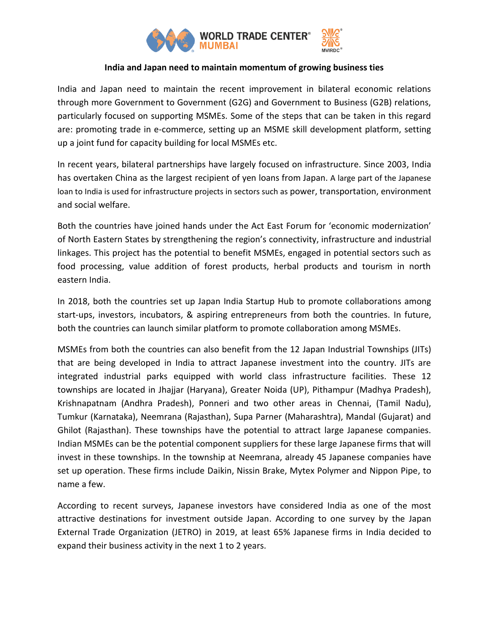

## **India and Japan need to maintain momentum of growing business ties**

India and Japan need to maintain the recent improvement in bilateral economic relations through more Government to Government (G2G) and Government to Business (G2B) relations, particularly focused on supporting MSMEs. Some of the steps that can be taken in this regard are: promoting trade in e-commerce, setting up an MSME skill development platform, setting up a joint fund for capacity building for local MSMEs etc.

In recent years, bilateral partnerships have largely focused on infrastructure. Since 2003, India has overtaken China as the largest recipient of yen loans from Japan. A large part of the Japanese loan to India is used for infrastructure projects in sectors such as power, transportation, environment and social welfare.

Both the countries have joined hands under the Act East Forum for 'economic modernization' of North Eastern States by strengthening the region's connectivity, infrastructure and industrial linkages. This project has the potential to benefit MSMEs, engaged in potential sectors such as food processing, value addition of forest products, herbal products and tourism in north eastern India.

In 2018, both the countries set up Japan India Startup Hub to promote collaborations among start-ups, investors, incubators, & aspiring entrepreneurs from both the countries. In future, both the countries can launch similar platform to promote collaboration among MSMEs.

MSMEs from both the countries can also benefit from the 12 Japan Industrial Townships (JITs) that are being developed in India to attract Japanese investment into the country. JITs are integrated industrial parks equipped with world class infrastructure facilities. These 12 townships are located in Jhajjar (Haryana), Greater Noida (UP), Pithampur (Madhya Pradesh), Krishnapatnam (Andhra Pradesh), Ponneri and two other areas in Chennai, (Tamil Nadu), Tumkur (Karnataka), Neemrana (Rajasthan), Supa Parner (Maharashtra), Mandal (Gujarat) and Ghilot (Rajasthan). These townships have the potential to attract large Japanese companies. Indian MSMEs can be the potential component suppliers for these large Japanese firms that will invest in these townships. In the township at Neemrana, already 45 Japanese companies have set up operation. These firms include Daikin, Nissin Brake, Mytex Polymer and Nippon Pipe, to name a few.

According to recent surveys, Japanese investors have considered India as one of the most attractive destinations for investment outside Japan. According to one survey by the Japan External Trade Organization (JETRO) in 2019, at least 65% Japanese firms in India decided to expand their business activity in the next 1 to 2 years.